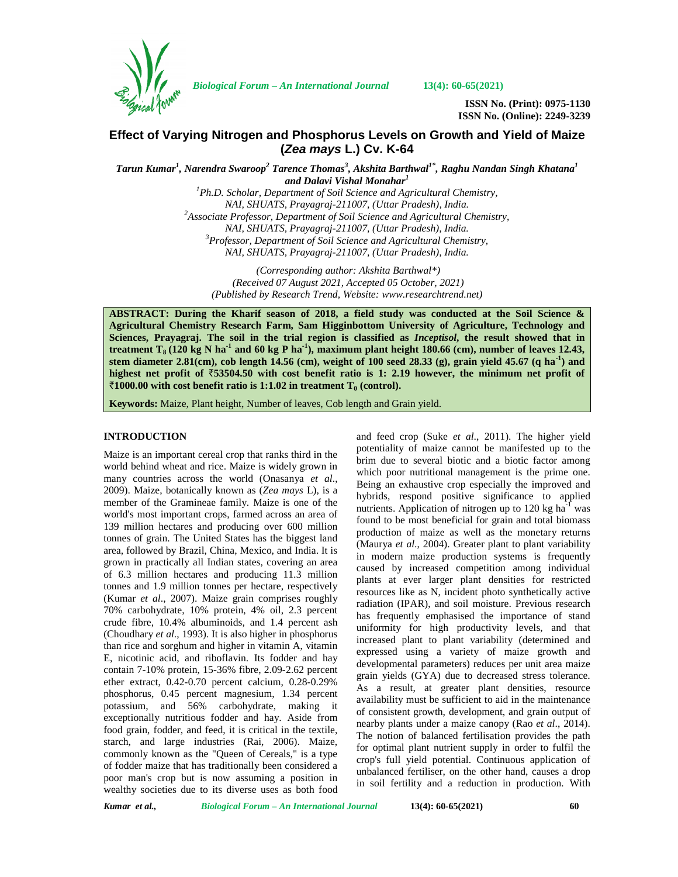

*Biological Forum – An International Journal* **13(4): 60-65(2021)**

**ISSN No. (Print): 0975-1130 ISSN No. (Online): 2249-3239**

# **Effect of Varying Nitrogen and Phosphorus Levels on Growth and Yield of Maize (***Zea mays* **L.) Cv. K-64**

*Tarun Kumar 1 , Narendra Swaroop<sup>2</sup> Tarence Thomas<sup>3</sup> , Akshita Barthwal1\* , Raghu Nandan Singh Khatana<sup>1</sup> and Dalavi Vishal Monahar<sup>1</sup>*

*<sup>1</sup>Ph.D. Scholar, Department of Soil Science and Agricultural Chemistry, NAI, SHUATS, Prayagraj-211007, (Uttar Pradesh), India. <sup>2</sup>Associate Professor, Department of Soil Science and Agricultural Chemistry, NAI, SHUATS, Prayagraj-211007, (Uttar Pradesh), India. <sup>3</sup>Professor, Department of Soil Science and Agricultural Chemistry, NAI, SHUATS, Prayagraj-211007, (Uttar Pradesh), India.*

*(Corresponding author: Akshita Barthwal\*) (Received 07 August 2021, Accepted 05 October, 2021) (Published by Research Trend, Website: [www.researchtrend.net\)](www.researchtrend.net)*

**ABSTRACT: During the Kharif season of 2018, a field study was conducted at the Soil Science & Agricultural Chemistry Research Farm, Sam Higginbottom University of Agriculture, Technology and Sciences, Prayagraj. The soil in the trial region is classified as** *Inceptisol***, the result showed that in treatment T<sub>8</sub> (120 kg N ha<sup>-1</sup> and 60 kg P ha<sup>-1</sup>), maximum plant height 180.66 (cm), number of leaves 12.43, stem diameter 2.81(cm), cob length 14.56 (cm), weight of 100 seed 28.33 (g), grain yield 45.67 (q ha-1) and highest net profit of** `**53504.50 with cost benefit ratio is 1: 2.19 however, the minimum net profit of**  $\bar{f}$  1000.00 with cost benefit ratio is 1:1.02 in treatment  $T_0$  (control).

**Keywords:** Maize, Plant height, Number of leaves, Cob length and Grain yield.

### **INTRODUCTION**

Maize is an important cereal crop that ranks third in the world behind wheat and rice. Maize is widely grown in many countries across the world (Onasanya *et al*., 2009). Maize, botanically known as (*Zea mays* L), is a member of the Gramineae family. Maize is one of the world's most important crops, farmed across an area of 139 million hectares and producing over 600 million tonnes of grain. The United States has the biggest land area, followed by Brazil, China, Mexico, and India. It is grown in practically all Indian states, covering an area of 6.3 million hectares and producing 11.3 million tonnes and 1.9 million tonnes per hectare, respectively (Kumar *et al*., 2007). Maize grain comprises roughly 70% carbohydrate, 10% protein, 4% oil, 2.3 percent crude fibre, 10.4% albuminoids, and 1.4 percent ash (Choudhary *et al*., 1993). It is also higher in phosphorus than rice and sorghum and higher in vitamin A, vitamin E, nicotinic acid, and riboflavin. Its fodder and hay contain 7-10% protein, 15-36% fibre, 2.09-2.62 percent ether extract, 0.42-0.70 percent calcium, 0.28-0.29% phosphorus, 0.45 percent magnesium, 1.34 percent potassium, and 56% carbohydrate, making it exceptionally nutritious fodder and hay. Aside from food grain, fodder, and feed, it is critical in the textile, starch, and large industries (Rai, 2006). Maize, commonly known as the "Queen of Cereals," is a type of fodder maize that has traditionally been considered a poor man's crop but is now assuming a position in wealthy societies due to its diverse uses as both food

and feed crop (Suke *et al*., 2011). The higher yield potentiality of maize cannot be manifested up to the brim due to several biotic and a biotic factor among which poor nutritional management is the prime one. Being an exhaustive crop especially the improved and hybrids, respond positive significance to applied nutrients. Application of nitrogen up to  $120 \text{ kg}$  ha<sup>-1</sup> was found to be most beneficial for grain and total biomass production of maize as well as the monetary returns (Maurya *et al*., 2004). Greater plant to plant variability in modern maize production systems is frequently caused by increased competition among individual plants at ever larger plant densities for restricted resources like as N, incident photo synthetically active radiation (IPAR), and soil moisture. Previous research has frequently emphasised the importance of stand uniformity for high productivity levels, and that increased plant to plant variability (determined and expressed using a variety of maize growth and developmental parameters) reduces per unit area maize grain yields (GYA) due to decreased stress tolerance. As a result, at greater plant densities, resource availability must be sufficient to aid in the maintenance of consistent growth, development, and grain output of nearby plants under a maize canopy (Rao *et al*., 2014). The notion of balanced fertilisation provides the path for optimal plant nutrient supply in order to fulfil the crop's full yield potential. Continuous application of unbalanced fertiliser, on the other hand, causes a drop in soil fertility and a reduction in production. With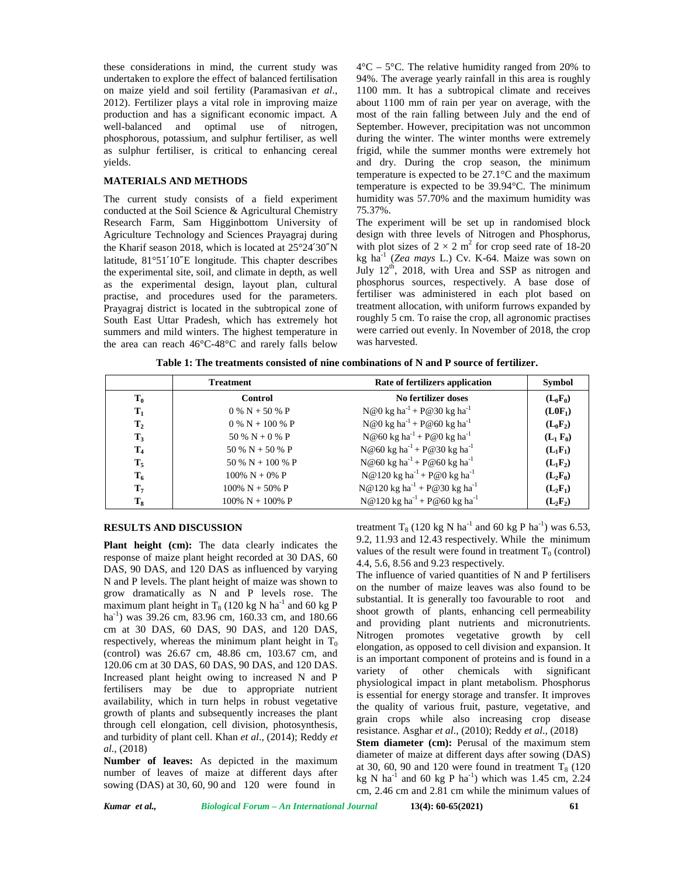these considerations in mind, the current study was undertaken to explore the effect of balanced fertilisation on maize yield and soil fertility (Paramasivan *et al*., 2012). Fertilizer plays a vital role in improving maize production and has a significant economic impact. A well-balanced and optimal use of nitrogen, phosphorous, potassium, and sulphur fertiliser, as well as sulphur fertiliser, is critical to enhancing cereal yields.

### **MATERIALS AND METHODS**

The current study consists of a field experiment conducted at the Soil Science & Agricultural Chemistry Research Farm, Sam Higginbottom University of Agriculture Technology and Sciences Prayagraj during the Kharif season 2018, which is located at 25°24′30″N latitude, 81°51′10″E longitude. This chapter describes the experimental site, soil, and climate in depth, as well as the experimental design, layout plan, cultural practise, and procedures used for the parameters. Prayagraj district is located in the subtropical zone of South East Uttar Pradesh, which has extremely hot summers and mild winters. The highest temperature in the area can reach 46°C-48°C and rarely falls below  $4^{\circ}$ C – 5<sup> $\circ$ </sup>C. The relative humidity ranged from 20% to 94%. The average yearly rainfall in this area is roughly 1100 mm. It has a subtropical climate and receives about 1100 mm of rain per year on average, with the most of the rain falling between July and the end of September. However, precipitation was not uncommon during the winter. The winter months were extremely frigid, while the summer months were extremely hot and dry. During the crop season, the minimum temperature is expected to be 27.1°C and the maximum temperature is expected to be 39.94°C. The minimum humidity was 57.70% and the maximum humidity was 75.37%.

The experiment will be set up in randomised block design with three levels of Nitrogen and Phosphorus, with plot sizes of  $2 \times 2$  m<sup>2</sup> for crop seed rate of 18-20 kg ha-1 (*Zea mays* L.) Cv. K-64. Maize was sown on July  $12<sup>th</sup>$ , 2018, with Urea and SSP as nitrogen and phosphorus sources, respectively. A base dose of fertiliser was administered in each plot based on treatment allocation, with uniform furrows expanded by roughly 5 cm. To raise the crop, all agronomic practises were carried out evenly. In November of 2018, the crop was harvested.

**Table 1: The treatments consisted of nine combinations of N and P source of fertilizer.**

|                | <b>Treatment</b>    | Rate of fertilizers application                        | <b>Symbol</b> |
|----------------|---------------------|--------------------------------------------------------|---------------|
| $T_0$          | <b>Control</b>      | No fertilizer doses                                    | $(L_0F_0)$    |
| $\mathbf{T}_1$ | $0\% N + 50\% P$    | $N@0$ kg ha <sup>-1</sup> + P@30 kg ha <sup>-1</sup>   | $(L0F_1)$     |
| T <sub>2</sub> | $0\% N + 100\% P$   | $N@0$ kg ha <sup>-1</sup> + P@60 kg ha <sup>-1</sup>   | $(L_0F_2)$    |
| $T_3$          | 50 % N + 0 % P      | $N@60$ kg ha <sup>-1</sup> + P@0 kg ha <sup>-1</sup>   | $(L_1 F_0)$   |
| $T_4$          | 50 % N + 50 % P     | N@60 kg ha <sup>-1</sup> + P@30 kg ha <sup>-1</sup>    | $(L_1F_1)$    |
| $T_5$          | 50 % N + 100 % P    | $N@60$ kg ha <sup>-1</sup> + P@60 kg ha <sup>-1</sup>  | $(L_1F_2)$    |
| $T_6$          | $100\% N + 0\% P$   | $N@120$ kg ha <sup>-1</sup> + P@0 kg ha <sup>-1</sup>  | $(L_2F_0)$    |
| $T_7$          | $100\% N + 50\% P$  | $N@120$ kg ha <sup>-1</sup> + P@30 kg ha <sup>-1</sup> | $(L_2F_1)$    |
| $T_8$          | $100\% N + 100\% P$ | $N@120$ kg ha <sup>-1</sup> + P@60 kg ha <sup>-1</sup> | $(L_2F_2)$    |

## **RESULTS AND DISCUSSION**

**Plant height (cm):** The data clearly indicates the response of maize plant height recorded at 30 DAS, 60 DAS, 90 DAS, and 120 DAS as influenced by varying N and P levels. The plant height of maize was shown to grow dramatically as N and P levels rose. The maximum plant height in  $T_8$  (120 kg N ha<sup>-1</sup> and 60 kg P ha<sup>-1</sup>) was 39.26 cm, 83.96 cm, 160.33 cm, and 180.66 cm at 30 DAS, 60 DAS, 90 DAS, and 120 DAS, respectively, whereas the minimum plant height in  $T_0$ (control) was 26.67 cm, 48.86 cm, 103.67 cm, and 120.06 cm at 30 DAS, 60 DAS, 90 DAS, and 120 DAS. Increased plant height owing to increased N and P fertilisers may be due to appropriate nutrient availability, which in turn helps in robust vegetative growth of plants and subsequently increases the plant through cell elongation, cell division, photosynthesis, and turbidity of plant cell. Khan *et al*., (2014); Reddy *et al*., (2018)

**Number of leaves:** As depicted in the maximum number of leaves of maize at different days after sowing (DAS) at 30, 60, 90 and 120 were found in

treatment T<sub>8</sub> (120 kg N ha<sup>-1</sup> and 60 kg P ha<sup>-1</sup>) was 6.53, 9.2, 11.93 and 12.43 respectively. While the minimum values of the result were found in treatment  $T_0$  (control) 4.4, 5.6, 8.56 and 9.23 respectively.

The influence of varied quantities of N and P fertilisers on the number of maize leaves was also found to be substantial. It is generally too favourable to root and shoot growth of plants, enhancing cell permeability and providing plant nutrients and micronutrients. Nitrogen promotes vegetative growth by cell elongation, as opposed to cell division and expansion. It is an important component of proteins and is found in a variety of other chemicals with significant physiological impact in plant metabolism. Phosphorus is essential for energy storage and transfer. It improves the quality of various fruit, pasture, vegetative, and grain crops while also increasing crop disease resistance. Asghar *et al*., (2010); Reddy *et al*., (2018) **Stem diameter (cm):** Perusal of the maximum stem diameter of maize at different days after sowing (DAS) at 30, 60, 90 and 120 were found in treatment  $T_8$  (120) kg N ha $^{-1}$  and 60 kg P ha $^{-1}$ ) which was 1.45 cm, 2.24 cm, 2.46 cm and 2.81 cm while the minimum values of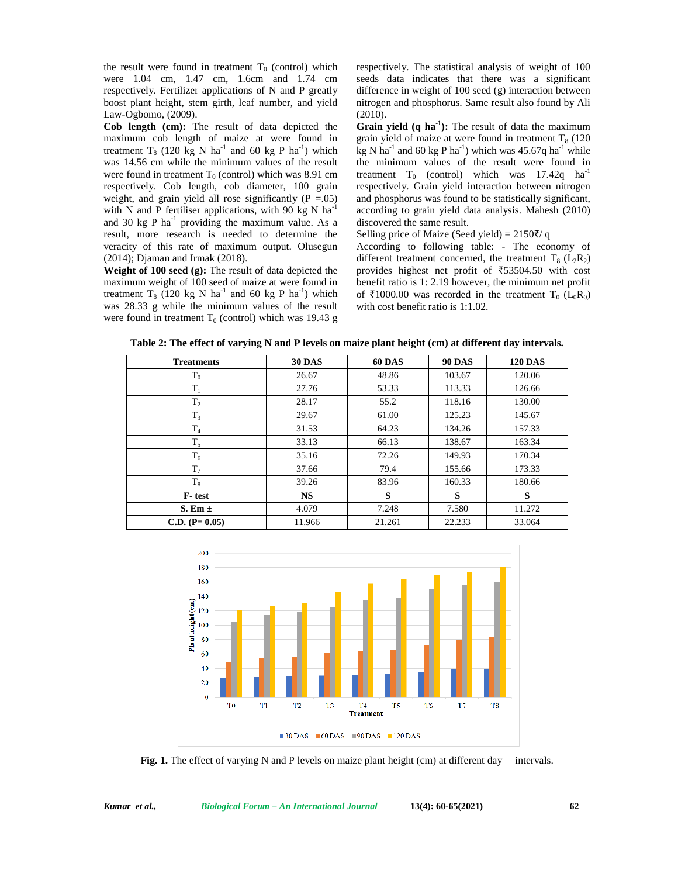the result were found in treatment  $T_0$  (control) which were 1.04 cm, 1.47 cm, 1.6cm and 1.74 cm respectively. Fertilizer applications of N and P greatly boost plant height, stem girth, leaf number, and yield Law-Ogbomo, (2009).

**Cob length (cm):** The result of data depicted the maximum cob length of maize at were found in treatment  $T_8$  (120 kg N ha<sup>-1</sup> and 60 kg P ha<sup>-1</sup>) which was 14.56 cm while the minimum values of the result were found in treatment  $T_0$  (control) which was 8.91 cm respectively. Cob length, cob diameter, 100 grain weight, and grain yield all rose significantly  $(P = .05)$ with N and P fertiliser applications, with 90 kg N  $\text{ha}^{-1}$ and 30 kg P  $ha^{-1}$  providing the maximum value. As a result, more research is needed to determine the veracity of this rate of maximum output. Olusegun (2014); Djaman and Irmak (2018).

**Weight of 100 seed (g):** The result of data depicted the maximum weight of 100 seed of maize at were found in treatment  $T_8$  (120 kg N ha<sup>-1</sup> and 60 kg P ha<sup>-1</sup>) which was 28.33 g while the minimum values of the result were found in treatment  $T_0$  (control) which was 19.43 g respectively. The statistical analysis of weight of 100 seeds data indicates that there was a significant difference in weight of 100 seed (g) interaction between nitrogen and phosphorus. Same result also found by Ali (2010).

**Grain yield (q ha-1):** The result of data the maximum grain yield of maize at were found in treatment  $T_8$  (120 kg N ha<sup>-1</sup> and 60 kg P ha<sup>-1</sup>) which was 45.67q ha<sup>-1</sup> while the minimum values of the result were found in treatment  $T_0$  (control) which was 17.42q ha<sup>-1</sup> respectively. Grain yield interaction between nitrogen and phosphorus was found to be statistically significant, according to grain yield data analysis. Mahesh (2010) discovered the same result.

Selling price of Maize (Seed yield) =  $2150\frac{7}{9}$  q

According to following table: - The economy of different treatment concerned, the treatment  $T_8$  ( $L_2R_2$ ) provides highest net profit of  $\overline{5}3504.50$  with cost benefit ratio is 1: 2.19 however, the minimum net profit of  $\overline{\xi}$ 1000.00 was recorded in the treatment T<sub>0</sub> (L<sub>0</sub>R<sub>0</sub>) with cost benefit ratio is 1:1.02.

| <b>Treatments</b> | <b>30 DAS</b> | <b>60 DAS</b> | <b>90 DAS</b> | <b>120 DAS</b> |
|-------------------|---------------|---------------|---------------|----------------|
| $\rm T_{0}$       | 26.67         | 48.86         | 103.67        | 120.06         |
| $T_1$             | 27.76         | 53.33         | 113.33        | 126.66         |
| $T_2$             | 28.17         | 55.2          | 118.16        | 130.00         |
| $T_3$             | 29.67         | 61.00         | 125.23        | 145.67         |
| T <sub>4</sub>    | 31.53         | 64.23         | 134.26        | 157.33         |
| $T_5$             | 33.13         | 66.13         | 138.67        | 163.34         |
| $T_6$             | 35.16         | 72.26         | 149.93        | 170.34         |
| T <sub>7</sub>    | 37.66         | 79.4          | 155.66        | 173.33         |
| $T_8$             | 39.26         | 83.96         | 160.33        | 180.66         |
| F-test            | <b>NS</b>     | S             | S             | S              |
| S. Em $\pm$       | 4.079         | 7.248         | 7.580         | 11.272         |
| $C.D. (P=0.05)$   | 11.966        | 21.261        | 22.233        | 33.064         |

**Table 2: The effect of varying N and P levels on maize plant height (cm) at different day intervals.**



**Fig. 1.** The effect of varying N and P levels on maize plant height (cm) at different day intervals.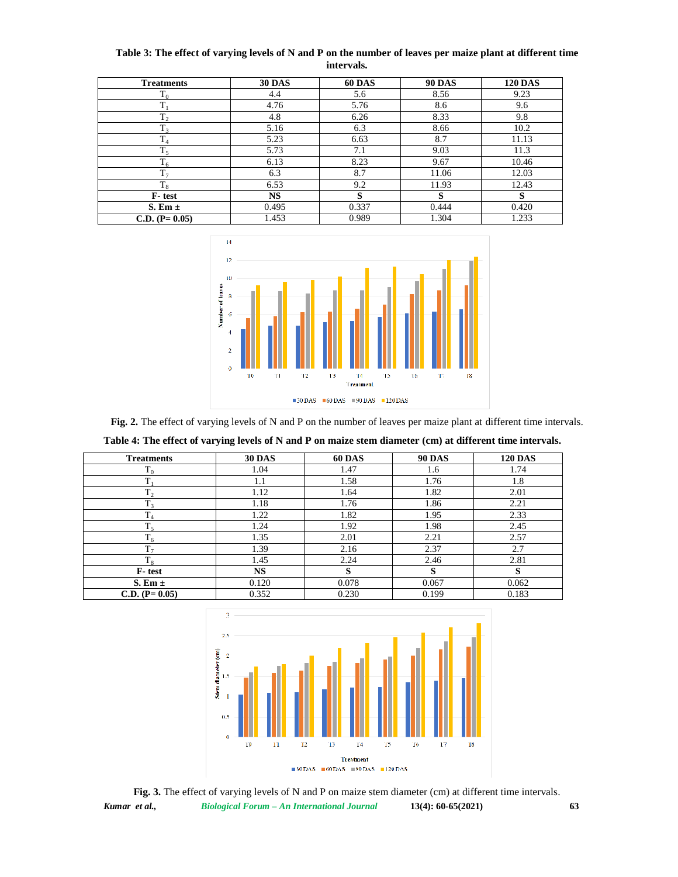| <b>Treatments</b> | <b>30 DAS</b> | <b>60 DAS</b> | <b>90 DAS</b> | <b>120 DAS</b> |
|-------------------|---------------|---------------|---------------|----------------|
| $T_0$             | 4.4           | 5.6           | 8.56          | 9.23           |
| $T_1$             | 4.76          | 5.76          | 8.6           | 9.6            |
| T <sub>2</sub>    | 4.8           | 6.26          | 8.33          | 9.8            |
| $T_3$             | 5.16          | 6.3           | 8.66          | 10.2           |
| $\rm T_4$         | 5.23          | 6.63          | 8.7           | 11.13          |
| $T_5$             | 5.73          | 7.1           | 9.03          | 11.3           |
| $T_6$             | 6.13          | 8.23          | 9.67          | 10.46          |
| $T_7$             | 6.3           | 8.7           | 11.06         | 12.03          |
| $\rm T_8$         | 6.53          | 9.2           | 11.93         | 12.43          |
| F-test            | <b>NS</b>     | S             | s             | S              |
| $S. Em \pm$       | 0.495         | 0.337         | 0.444         | 0.420          |
| $C.D. (P=0.05)$   | 1.453         | 0.989         | 1.304         | 1.233          |

**Table 3: The effect of varying levels of N and P on the number of leaves per maize plant at different time intervals.**



**Fig. 2.** The effect of varying levels of N and P on the number of leaves per maize plant at different time intervals.

**Table 4: The effect of varying levels of N and P on maize stem diameter (cm) at different time intervals.**

| <b>Treatments</b> | <b>30 DAS</b> | <b>60 DAS</b> | <b>90 DAS</b> | <b>120 DAS</b> |
|-------------------|---------------|---------------|---------------|----------------|
| $\rm T_{0}$       | 1.04          | 1.47          | 1.6           | 1.74           |
|                   | 1.1           | 1.58          | 1.76          | 1.8            |
| $T_2$             | 1.12          | 1.64          | 1.82          | 2.01           |
| $T_3$             | 1.18          | 1.76          | 1.86          | 2.21           |
| $\rm T_4$         | 1.22          | 1.82          | 1.95          | 2.33           |
| $T_5$             | 1.24          | 1.92          | 1.98          | 2.45           |
| $T_6$             | 1.35          | 2.01          | 2.21          | 2.57           |
| T <sub>7</sub>    | 1.39          | 2.16          | 2.37          | 2.7            |
| $T_8$             | 1.45          | 2.24          | 2.46          | 2.81           |
| F-test            | <b>NS</b>     | s             | s             | S              |
| $S. Em \pm$       | 0.120         | 0.078         | 0.067         | 0.062          |
| $C.D. (P=0.05)$   | 0.352         | 0.230         | 0.199         | 0.183          |



*Kumar et al., Biological Forum – An International Journal* **13(4): 60-65(2021) 63 Fig. 3.** The effect of varying levels of N and P on maize stem diameter (cm) at different time intervals.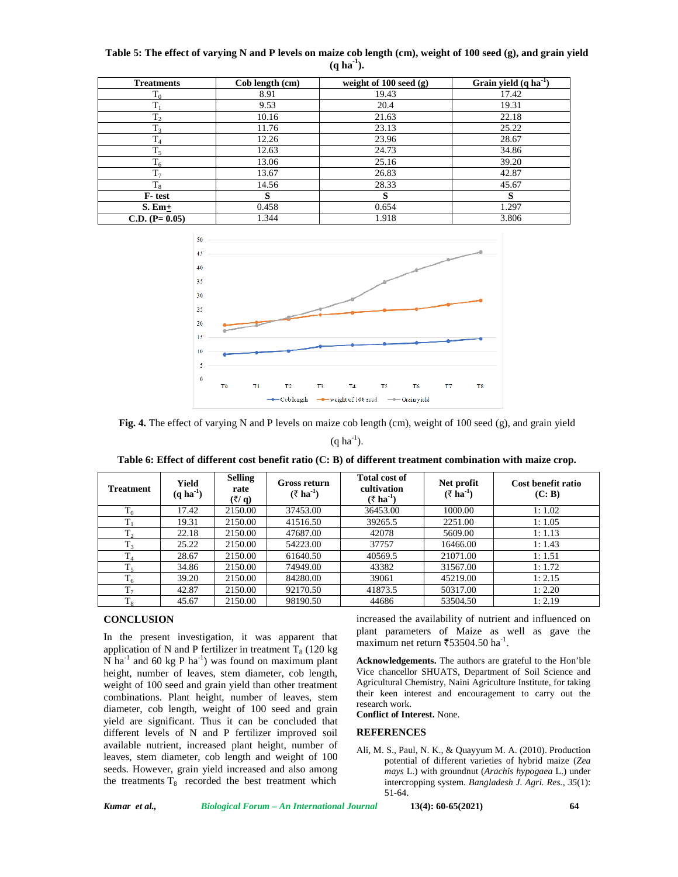| Table 5: The effect of varying N and P levels on maize cob length (cm), weight of 100 seed (g), and grain yield |  |
|-----------------------------------------------------------------------------------------------------------------|--|
| $(a ha-1)$ .                                                                                                    |  |

| <b>Treatments</b> | Cob length (cm) | weight of $100 \text{ seed (g)}$ | Grain yield $(q \, ha^{-1})$ |
|-------------------|-----------------|----------------------------------|------------------------------|
| $\rm T_{0}$       | 8.91            | 19.43                            | 17.42                        |
| T                 | 9.53            | 20.4                             | 19.31                        |
| T <sub>2</sub>    | 10.16           | 21.63                            | 22.18                        |
| $T_3$             | 11.76           | 23.13                            | 25.22                        |
| T <sub>4</sub>    | 12.26           | 23.96                            | 28.67                        |
| $T_5$             | 12.63           | 24.73                            | 34.86                        |
| $T_6$             | 13.06           | 25.16                            | 39.20                        |
| T <sub>7</sub>    | 13.67           | 26.83                            | 42.87                        |
| $T_{\rm R}$       | 14.56           | 28.33                            | 45.67                        |
| F-test            | S               | S                                | s                            |
| $S.$ Em $+$       | 0.458           | 0.654                            | 1.297                        |
| $C.D. (P=0.05)$   | 1.344           | 1.918                            | 3.806                        |



**Fig. 4.** The effect of varying N and P levels on maize cob length (cm), weight of 100 seed (g), and grain yield

 $(a ha^{-1})$ .

**Table 6: Effect of different cost benefit ratio (C: B) of different treatment combination with maize crop.**

| <b>Treatment</b> | Yield<br>$(q \, ha^{-1})$ | <b>Selling</b><br>rate<br>$($ ₹/ q) | Gross return<br>$(\overline{\tau} \text{ ha}^{-1})$ | <b>Total cost of</b><br>cultivation<br>$(\bar{\tau} \text{ ha}^{-1})$ | Net profit<br>$(\bar{z}$ ha <sup>-1</sup> ) | Cost benefit ratio<br>(C: B) |
|------------------|---------------------------|-------------------------------------|-----------------------------------------------------|-----------------------------------------------------------------------|---------------------------------------------|------------------------------|
| $T_0$            | 17.42                     | 2150.00                             | 37453.00                                            | 36453.00                                                              | 1000.00                                     | 1:1.02                       |
| $T_1$            | 19.31                     | 2150.00                             | 41516.50                                            | 39265.5                                                               | 2251.00                                     | 1:1.05                       |
| T <sub>2</sub>   | 22.18                     | 2150.00                             | 47687.00                                            | 42078                                                                 | 5609.00                                     | 1:1.13                       |
| $T_3$            | 25.22                     | 2150.00                             | 54223.00                                            | 37757                                                                 | 16466.00                                    | 1:1.43                       |
| $T_4$            | 28.67                     | 2150.00                             | 61640.50                                            | 40569.5                                                               | 21071.00                                    | 1:1.51                       |
| $T_5$            | 34.86                     | 2150.00                             | 74949.00                                            | 43382                                                                 | 31567.00                                    | 1:1.72                       |
| $T_6$            | 39.20                     | 2150.00                             | 84280.00                                            | 39061                                                                 | 45219.00                                    | 1:2.15                       |
| T <sub>7</sub>   | 42.87                     | 2150.00                             | 92170.50                                            | 41873.5                                                               | 50317.00                                    | 1:2.20                       |
| $\rm T_8$        | 45.67                     | 2150.00                             | 98190.50                                            | 44686                                                                 | 53504.50                                    | 1:2.19                       |

#### **CONCLUSION**

In the present investigation, it was apparent that application of N and P fertilizer in treatment  $T_8$  (120 kg) N ha<sup>-1</sup> and 60 kg P ha<sup>-1</sup>) was found on maximum plant height, number of leaves, stem diameter, cob length, weight of 100 seed and grain yield than other treatment combinations. Plant height, number of leaves, stem diameter, cob length, weight of 100 seed and grain yield are significant. Thus it can be concluded that different levels of N and P fertilizer improved soil available nutrient, increased plant height, number of leaves, stem diameter, cob length and weight of 100 seeds. However, grain yield increased and also among the treatments  $T_8$  recorded the best treatment which

increased the availability of nutrient and influenced on plant parameters of Maize as well as gave the maximum net return  $\overline{5}$ 53504.50 ha<sup>-1</sup>.

**Acknowledgements.** The authors are grateful to the Hon'ble Vice chancellor SHUATS, Department of Soil Science and Agricultural Chemistry, Naini Agriculture Institute, for taking their keen interest and encouragement to carry out the research work.

**Conflict of Interest.** None.

## **REFERENCES**

Ali, M. S., Paul, N. K., & Quayyum M. A. (2010). Production potential of different varieties of hybrid maize (*Zea mays* L.) with groundnut (*Arachis hypogaea* L.) under intercropping system. *Bangladesh J. Agri. Res., 35*(1): 51-64.

*Kumar et al., Biological Forum – An International Journal* **13(4): 60-65(2021) 64**